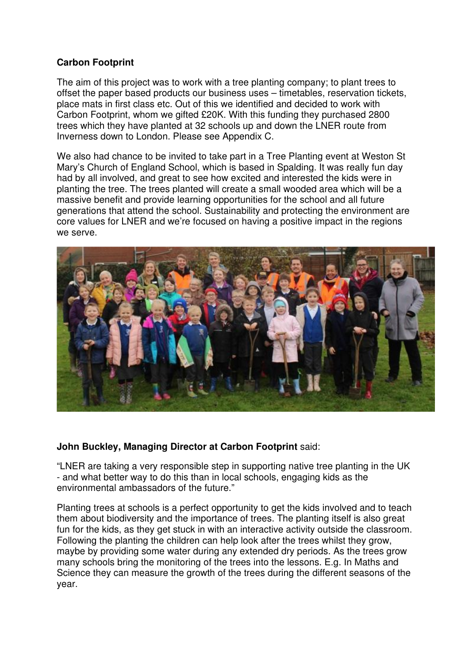## **Carbon Footprint**

The aim of this project was to work with a tree planting company; to plant trees to offset the paper based products our business uses – timetables, reservation tickets, place mats in first class etc. Out of this we identified and decided to work with Carbon Footprint, whom we gifted £20K. With this funding they purchased 2800 trees which they have planted at 32 schools up and down the LNER route from Inverness down to London. Please see Appendix C.

We also had chance to be invited to take part in a Tree Planting event at Weston St Mary's Church of England School, which is based in Spalding. It was really fun day had by all involved, and great to see how excited and interested the kids were in planting the tree. The trees planted will create a small wooded area which will be a massive benefit and provide learning opportunities for the school and all future generations that attend the school. Sustainability and protecting the environment are core values for LNER and we're focused on having a positive impact in the regions we serve.



## **John Buckley, Managing Director at Carbon Footprint** said:

"LNER are taking a very responsible step in supporting native tree planting in the UK - and what better way to do this than in local schools, engaging kids as the environmental ambassadors of the future."

Planting trees at schools is a perfect opportunity to get the kids involved and to teach them about biodiversity and the importance of trees. The planting itself is also great fun for the kids, as they get stuck in with an interactive activity outside the classroom. Following the planting the children can help look after the trees whilst they grow, maybe by providing some water during any extended dry periods. As the trees grow many schools bring the monitoring of the trees into the lessons. E.g. In Maths and Science they can measure the growth of the trees during the different seasons of the year.